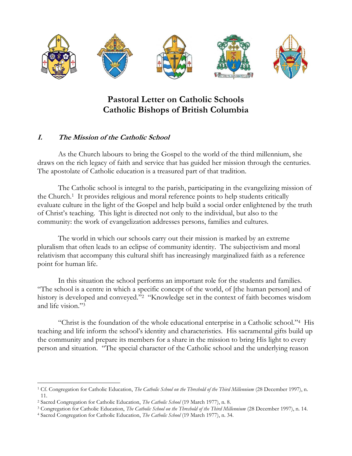

# **Pastoral Letter on Catholic Schools Catholic Bishops of British Columbia**

#### **I. The Mission of the Catholic School**

As the Church labours to bring the Gospel to the world of the third millennium, she draws on the rich legacy of faith and service that has guided her mission through the centuries. The apostolate of Catholic education is a treasured part of that tradition.

The Catholic school is integral to the parish, participating in the evangelizing mission of the Church.<sup>1</sup> It provides religious and moral reference points to help students critically evaluate culture in the light of the Gospel and help build a social order enlightened by the truth of Christ's teaching. This light is directed not only to the individual, but also to the community: the work of evangelization addresses persons, families and cultures.

The world in which our schools carry out their mission is marked by an extreme pluralism that often leads to an eclipse of community identity. The subjectivism and moral relativism that accompany this cultural shift has increasingly marginalized faith as a reference point for human life.

In this situation the school performs an important role for the students and families. "The school is a centre in which a specific concept of the world, of [the human person] and of history is developed and conveyed."<sup>2</sup> "Knowledge set in the context of faith becomes wisdom and life vision." 3

"Christ is the foundation of the whole educational enterprise in a Catholic school."<sup>4</sup> His teaching and life inform the school's identity and characteristics. His sacramental gifts build up the community and prepare its members for a share in the mission to bring His light to every person and situation. "The special character of the Catholic school and the underlying reason

 $\overline{a}$ <sup>1</sup> Cf. Congregation for Catholic Education, *The Catholic School on the Threshold of the Third Millennium* (28 December 1997), n. 11.

<sup>2</sup> Sacred Congregation for Catholic Education, *The Catholic School* (19 March 1977), n. 8.

<sup>3</sup> Congregation for Catholic Education, *The Catholic School on the Threshold of the Third Millennium* (28 December 1997), n. 14.

<sup>4</sup> Sacred Congregation for Catholic Education, *The Catholic School* (19 March 1977), n. 34.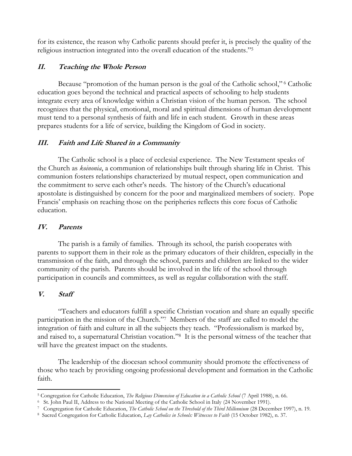for its existence, the reason why Catholic parents should prefer it, is precisely the quality of the religious instruction integrated into the overall education of the students." 5

#### **II. Teaching the Whole Person**

Because "promotion of the human person is the goal of the Catholic school," <sup>6</sup> Catholic education goes beyond the technical and practical aspects of schooling to help students integrate every area of knowledge within a Christian vision of the human person. The school recognizes that the physical, emotional, moral and spiritual dimensions of human development must tend to a personal synthesis of faith and life in each student. Growth in these areas prepares students for a life of service, building the Kingdom of God in society.

## **III. Faith and Life Shared in a Community**

The Catholic school is a place of ecclesial experience. The New Testament speaks of the Church as *koinonia*, a communion of relationships built through sharing life in Christ. This communion fosters relationships characterized by mutual respect, open communication and the commitment to serve each other's needs. The history of the Church's educational apostolate is distinguished by concern for the poor and marginalized members of society. Pope Francis' emphasis on reaching those on the peripheries reflects this core focus of Catholic education.

#### **IV. Parents**

The parish is a family of families. Through its school, the parish cooperates with parents to support them in their role as the primary educators of their children, especially in the transmission of the faith, and through the school, parents and children are linked to the wider community of the parish. Parents should be involved in the life of the school through participation in councils and committees, as well as regular collaboration with the staff.

## **V. Staff**

"Teachers and educators fulfill a specific Christian vocation and share an equally specific participation in the mission of the Church." 7 Members of the staff are called to model the integration of faith and culture in all the subjects they teach. "Professionalism is marked by, and raised to, a supernatural Christian vocation."<sup>8</sup> It is the personal witness of the teacher that will have the greatest impact on the students.

The leadership of the diocesan school community should promote the effectiveness of those who teach by providing ongoing professional development and formation in the Catholic faith.

 $\overline{a}$ <sup>5</sup> Congregation for Catholic Education, *The Religious Dimension of Education in a Catholic School* (7 April 1988), n. 66.

<sup>6</sup> St. John Paul II, Address to the National Meeting of the Catholic School in Italy (24 November 1991).

<sup>7</sup> Congregation for Catholic Education, *The Catholic School on the Threshold of the Third Millennium* (28 December 1997), n. 19.

<sup>8</sup> Sacred Congregation for Catholic Education, *Lay Catholics in Schools: Witnesses to Faith* (15 October 1982), n. 37.